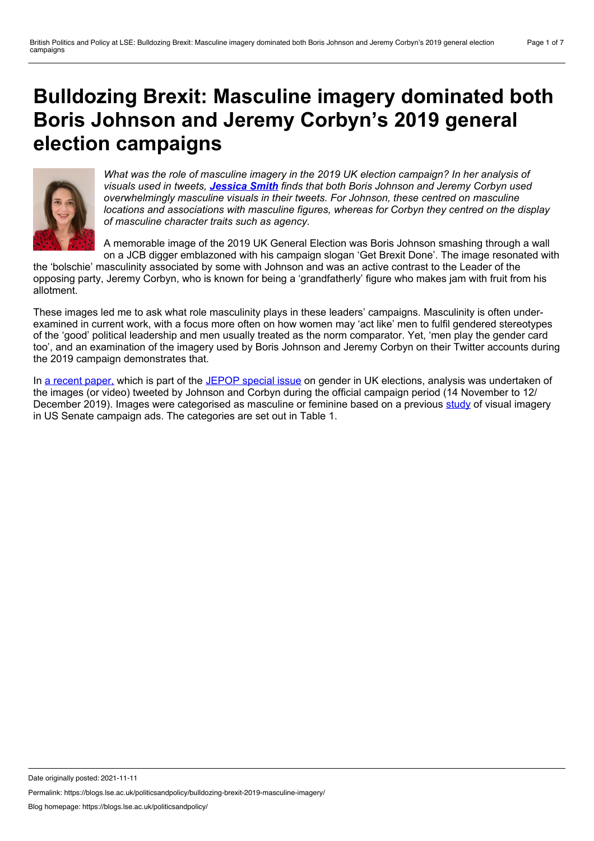# <span id="page-0-0"></span>**Bulldozing Brexit: Masculine imagery dominated both Boris Johnson and Jeremy Corbyn's 2019 general election campaigns**



*What was the role of masculine imagery in the 2019 UK election campaign? In her analysis of visuals used in tweets, [Jessica](#page-0-0) Smith finds that both Boris Johnson and Jeremy Corbyn used overwhelmingly masculine visuals in their tweets. For Johnson, these centred on masculine locations and associations with masculine figures, whereas for Corbyn they centred on the display of masculine character traits such as agency.*

A memorable image of the 2019 UK General Election was Boris Johnson smashing through a wall on a JCB digger emblazoned with his campaign slogan 'Get Brexit Done'. The image resonated with

the 'bolschie' masculinity associated by some with Johnson and was an active contrast to the Leader of the opposing party, Jeremy Corbyn, who is known for being a 'grandfatherly' figure who makes jam with fruit from his allotment.

These images led me to ask what role masculinity plays in these leaders' campaigns. Masculinity is often under examined in current work, with a focus more often on how women may 'act like' men to fulfil gendered stereotypes of the 'good' political leadership and men usually treated as the norm comparator. Yet, 'men play the gender card too', and an examination of the imagery used by Boris Johnson and Jeremy Corbyn on their Twitter accounts during the 2019 campaign demonstrates that.

In a recent [paper,](https://www.tandfonline.com/doi/full/10.1080/17457289.2021.1968414) which is part of the [JEPOP](https://www.tandfonline.com/doi/full/10.1080/17457289.2021.1968415) special issue on gender in UK elections, analysis was undertaken of the images (or video) tweeted by Johnson and Corbyn during the official campaign period (14 November to 12/ December 2019). Images were categorised as masculine or feminine based on a previous [study](https://www.tandfonline.com/doi/full/10.1080/21565503.2019.1637353) of visual imagery in US Senate campaign ads. The categories are set out in Table 1.

Date originally posted: 2021-11-11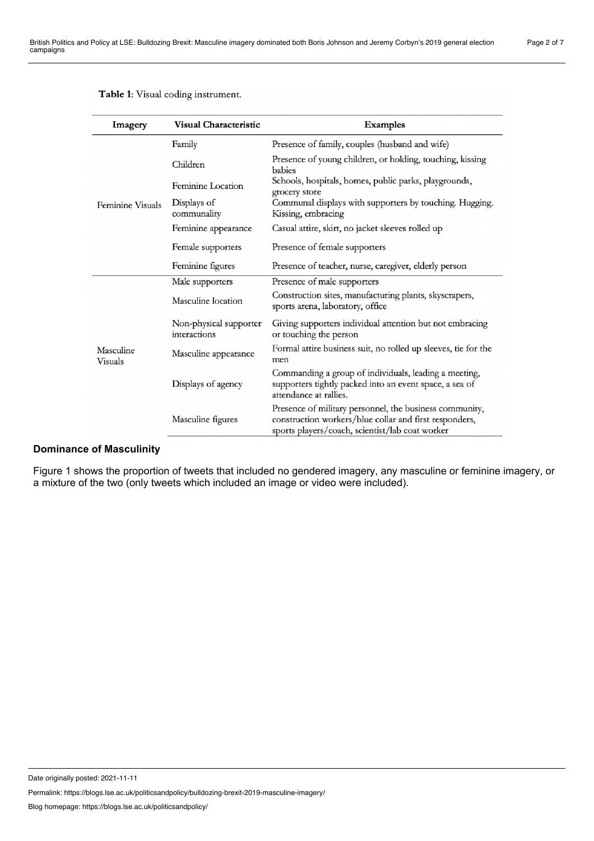| Imagery              | <b>Visual Characteristic</b>           | <b>Examples</b>                                                                                                                                                      |
|----------------------|----------------------------------------|----------------------------------------------------------------------------------------------------------------------------------------------------------------------|
| Feminine Visuals     | Family                                 | Presence of family, couples (husband and wife)                                                                                                                       |
|                      | Children                               | Presence of young children, or holding, touching, kissing<br>babies                                                                                                  |
|                      | Feminine Location                      | Schools, hospitals, homes, public parks, playgrounds,<br>grocery store                                                                                               |
|                      | Displays of<br>communality             | Communal displays with supporters by touching. Hugging.<br>Kissing, embracing                                                                                        |
|                      | Feminine appearance                    | Casual attire, skirt, no jacket sleeves rolled up                                                                                                                    |
|                      | Female supporters                      | Presence of female supporters                                                                                                                                        |
|                      | Feminine figures                       | Presence of teacher, nurse, caregiver, elderly person                                                                                                                |
| Masculine<br>Visuals | Male supporters                        | Presence of male supporters                                                                                                                                          |
|                      | Masculine location                     | Construction sites, manufacturing plants, skyscrapers,<br>sports arena, laboratory, office                                                                           |
|                      | Non-physical supporter<br>interactions | Giving supporters individual attention but not embracing<br>or touching the person                                                                                   |
|                      | Masculine appearance                   | Formal attire business suit, no rolled up sleeves, tie for the<br>men                                                                                                |
|                      | Displays of agency                     | Commanding a group of individuals, leading a meeting,<br>supporters tightly packed into an event space, a sea of<br>attendance at rallies.                           |
|                      | Masculine figures                      | Presence of military personnel, the business community,<br>construction workers/blue collar and first responders,<br>sports players/coach, scientist/lab coat worker |

#### Table 1: Visual coding instrument.

### **Dominance of Masculinity**

Figure 1 shows the proportion of tweets that included no gendered imagery, any masculine or feminine imagery, or a mixture of the two (only tweets which included an image or video were included).

Date originally posted: 2021-11-11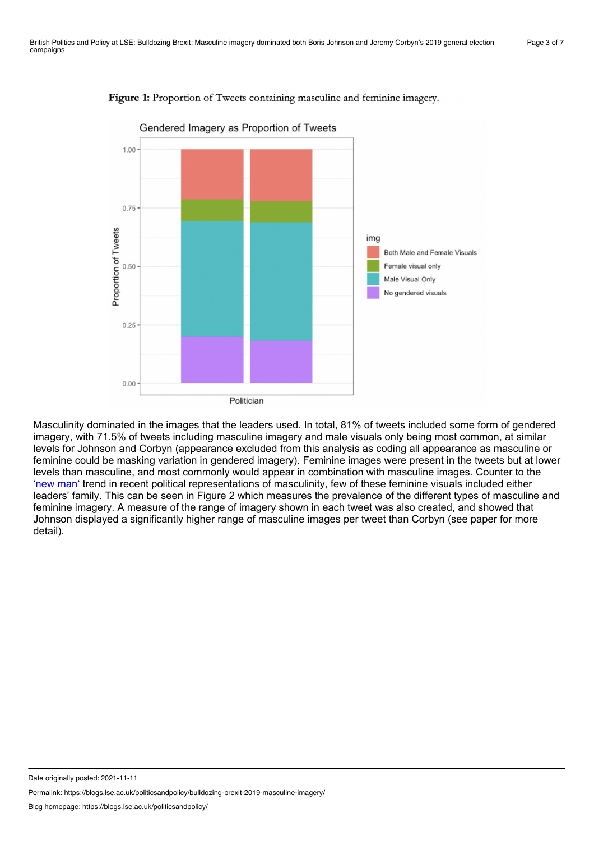

Figure 1: Proportion of Tweets containing masculine and feminine imagery.

Masculinity dominated in the images that the leaders used. In total, 81% of tweets included some form of gendered imagery, with 71.5% of tweets including masculine imagery and male visuals only being most common, at similar levels for Johnson and Corbyn (appearance excluded from this analysis as coding all appearance as masculine or feminine could be masking variation in gendered imagery). Feminine images were present in the tweets but at lower levels than masculine, and most commonly would appear in combination with masculine images. Counter to the 'new [man'](http://academic.oup.com/pa/article/71/1/196/3896133) trend in recent political representations of masculinity, few of these feminine visuals included either leaders' family. This can be seen in Figure 2 which measures the prevalence of the different types of masculine and feminine imagery. A measure of the range of imagery shown in each tweet was also created, and showed that Johnson displayed a significantly higher range of masculine images per tweet than Corbyn (see paper for more detail).

Date originally posted: 2021-11-11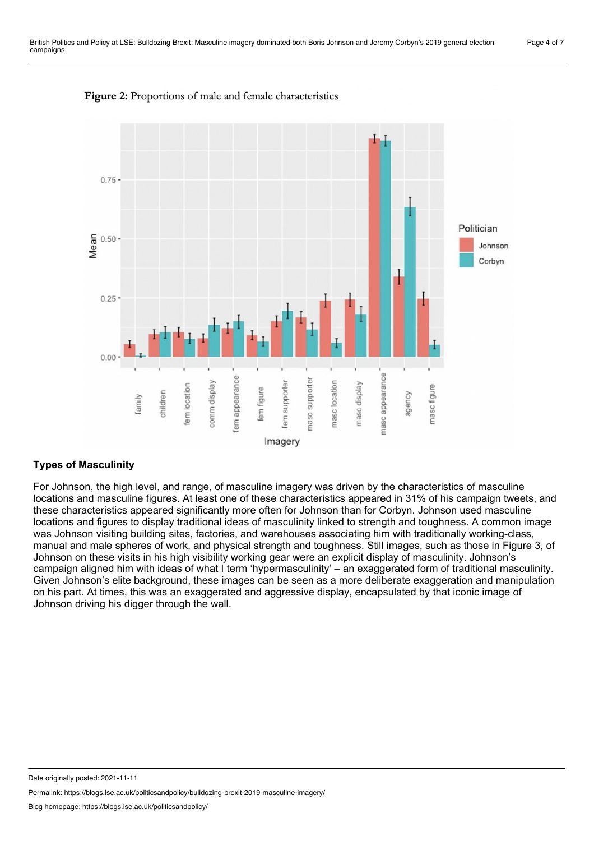



### **Types of Masculinity**

For Johnson, the high level, and range, of masculine imagery was driven by the characteristics of masculine locations and masculine figures. At least one of these characteristics appeared in 31% of his campaign tweets, and these characteristics appeared significantly more often for Johnson than for Corbyn. Johnson used masculine locations and figures to display traditional ideas of masculinity linked to strength and toughness. A common image was Johnson visiting building sites, factories, and warehouses associating him with traditionally working-class, manual and male spheres of work, and physical strength and toughness. Still images, such as those in Figure 3, of Johnson on these visits in his high visibility working gear were an explicit display of masculinity. Johnson's campaign aligned him with ideas of what I term 'hypermasculinity' – an exaggerated form of traditional masculinity. Given Johnson's elite background, these images can be seen as a more deliberate exaggeration and manipulation on his part. At times, this was an exaggerated and aggressive display, encapsulated by that iconic image of Johnson driving his digger through the wall.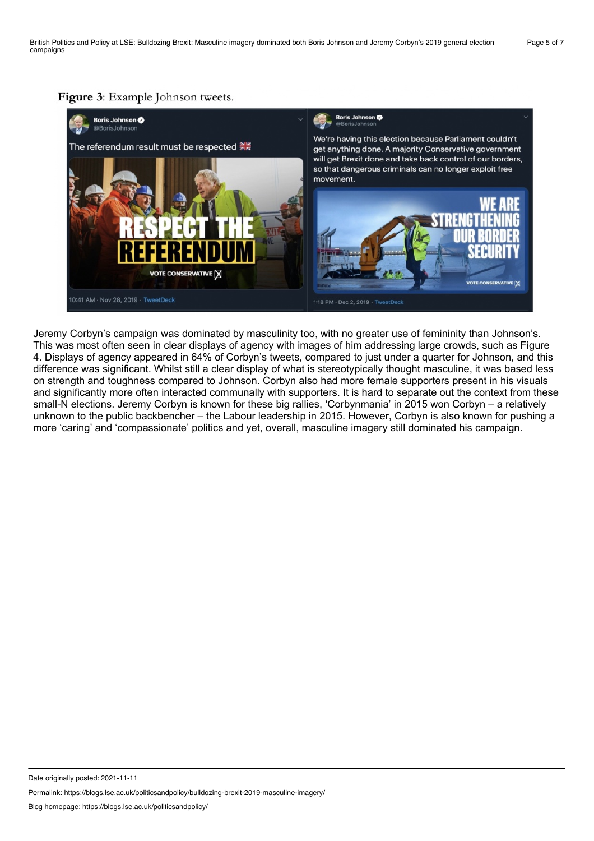

Jeremy Corbyn's campaign was dominated by masculinity too, with no greater use of femininity than Johnson's. This was most often seen in clear displays of agency with images of him addressing large crowds, such as Figure 4. Displays of agency appeared in 64% of Corbyn's tweets, compared to just under a quarter for Johnson, and this difference was significant. Whilst still a clear display of what is stereotypically thought masculine, it was based less on strength and toughness compared to Johnson. Corbyn also had more female supporters present in his visuals and significantly more often interacted communally with supporters. It is hard to separate out the context from these small-N elections. Jeremy Corbyn is known for these big rallies, 'Corbynmania' in 2015 won Corbyn – a relatively unknown to the public backbencher – the Labour leadership in 2015. However, Corbyn is also known for pushing a more 'caring' and 'compassionate' politics and yet, overall, masculine imagery still dominated his campaign.

Date originally posted: 2021-11-11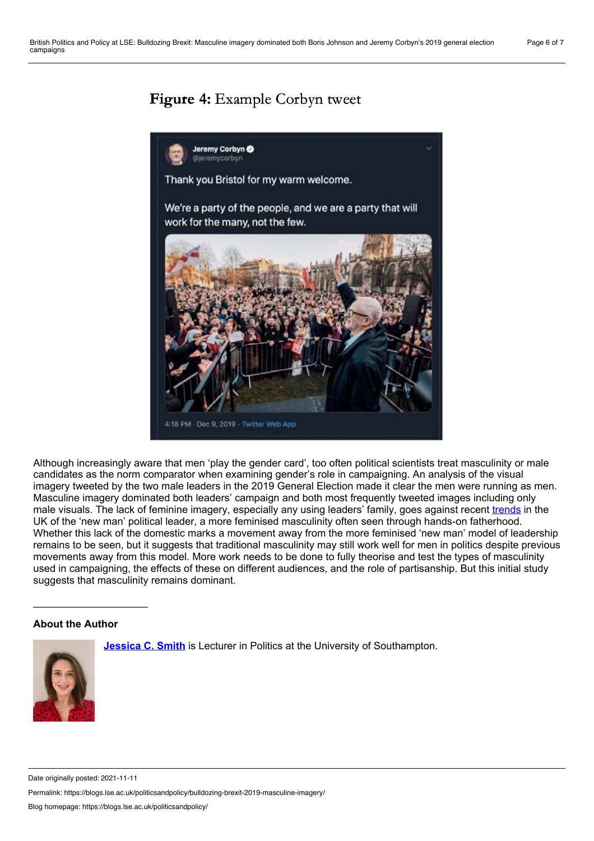## **Figure 4:** Example Corbyn tweet



Although increasingly aware that men 'play the gender card', too often political scientists treat masculinity or male candidates as the norm comparator when examining gender's role in campaigning. An analysis of the visual imagery tweeted by the two male leaders in the 2019 General Election made it clear the men were running as men. Masculine imagery dominated both leaders' campaign and both most frequently tweeted images including only male visuals. The lack of feminine imagery, especially any using leaders' family, goes against recent [trends](http://academic.oup.com/pa/article/71/1/196/3896133) in the UK of the 'new man' political leader, a more feminised masculinity often seen through hands-on fatherhood. Whether this lack of the domestic marks a movement away from the more feminised 'new man' model of leadership remains to be seen, but it suggests that traditional masculinity may still work well for men in politics despite previous movements away from this model. More work needs to be done to fully theorise and test the types of masculinity used in campaigning, the effects of these on different audiences, and the role of partisanship. But this initial study suggests that masculinity remains dominant.

### **About the Author**

**[Jessica](https://www.southampton.ac.uk/politics/about/staff/jcs1y19.page) C. Smith** is Lecturer in Politics at the University of Southampton.



Date originally posted: 2021-11-11

Permalink: https://blogs.lse.ac.uk/politicsandpolicy/bulldozing-brexit-2019-masculine-imagery/

Blog homepage: https://blogs.lse.ac.uk/politicsandpolicy/